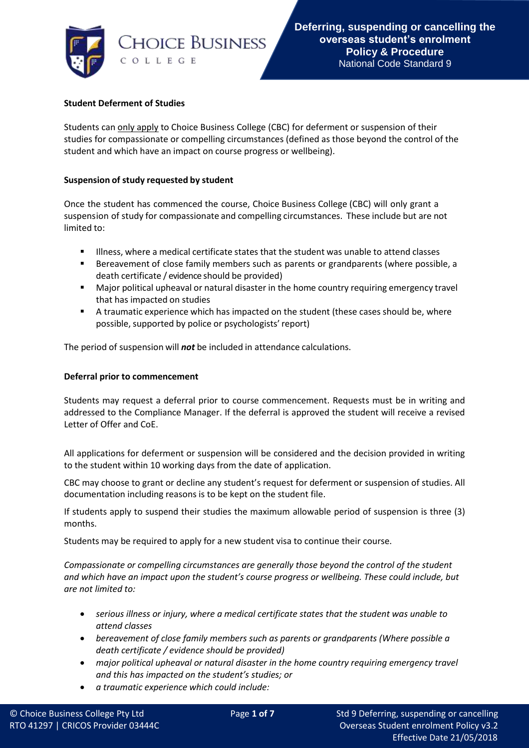

## **Student Deferment of Studies**

Students can only apply to Choice Business College (CBC) for deferment or suspension of their studies for compassionate or compelling circumstances (defined as those beyond the control of the student and which have an impact on course progress or wellbeing).

## **Suspension of study requested by student**

Once the student has commenced the course, Choice Business College (CBC) will only grant a suspension of study for compassionate and compelling circumstances. These include but are not limited to:

- Illness, where a medical certificate states that the student was unable to attend classes
- Bereavement of close family members such as parents or grandparents (where possible, a death certificate / evidence should be provided)
- Major political upheaval or natural disaster in the home country requiring emergency travel that has impacted on studies
- A traumatic experience which has impacted on the student (these cases should be, where possible, supported by police or psychologists'report)

The period of suspension will *not* be included in attendance calculations.

## **Deferral prior to commencement**

Students may request a deferral prior to course commencement. Requests must be in writing and addressed to the Compliance Manager. If the deferral is approved the student will receive a revised Letter of Offer and CoE.

All applications for deferment or suspension will be considered and the decision provided in writing to the student within 10 working days from the date of application.

CBC may choose to grant or decline any student's request for deferment or suspension of studies. All documentation including reasons is to be kept on the student file.

If students apply to suspend their studies the maximum allowable period of suspension is three (3) months.

Students may be required to apply for a new student visa to continue their course.

*Compassionate or compelling circumstances are generally those beyond the control of the student and which have an impact upon the student's course progress or wellbeing. These could include, but are not limited to:*

- *serious illness or injury, where a medical certificate states that the student was unable to attend classes*
- *bereavement of close family members such as parents or grandparents (Where possible a death certificate / evidence should be provided)*
- *major political upheaval or natural disaster in the home country requiring emergency travel and this has impacted on the student's studies; or*
- *a traumatic experience which could include:*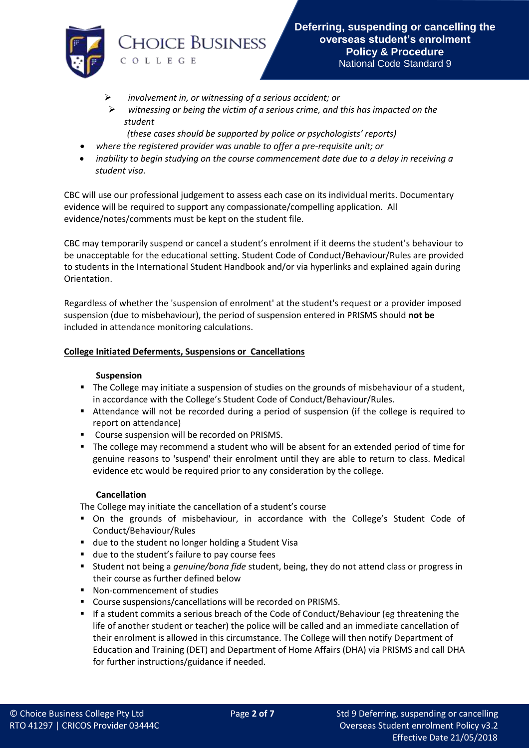

- ➢ *involvement in, or witnessing of a serious accident; or*
- ➢ *witnessing or being the victim of a serious crime, and this has impacted on the student* 
	- *(these cases should be supported by police or psychologists' reports)*
- *where the registered provider was unable to offer a pre-requisite unit; or*
- *inability to begin studying on the course commencement date due to a delay in receiving a student visa.*

CBC will use our professional judgement to assess each case on its individual merits. Documentary evidence will be required to support any compassionate/compelling application. All evidence/notes/comments must be kept on the student file.

CBC may temporarily suspend or cancel a student's enrolment if it deems the student's behaviour to be unacceptable for the educational setting. Student Code of Conduct/Behaviour/Rules are provided to students in the International Student Handbook and/or via hyperlinks and explained again during Orientation.

Regardless of whether the 'suspension of enrolment' at the student's request or a provider imposed suspension (due to misbehaviour), the period of suspension entered in PRISMS should **not be** included in attendance monitoring calculations.

### **College Initiated Deferments, Suspensions or Cancellations**

#### **Suspension**

- **•** The College may initiate a suspension of studies on the grounds of misbehaviour of a student, in accordance with the College's Student Code of Conduct/Behaviour/Rules.
- Attendance will not be recorded during a period of suspension (if the college is required to report on attendance)
- Course suspension will be recorded on PRISMS.
- The college may recommend a student who will be absent for an extended period of time for genuine reasons to 'suspend' their enrolment until they are able to return to class. Medical evidence etc would be required prior to any consideration by the college.

### **Cancellation**

The College may initiate the cancellation of a student's course

- On the grounds of misbehaviour, in accordance with the College's Student Code of Conduct/Behaviour/Rules
- due to the student no longer holding a Student Visa
- due to the student's failure to pay course fees
- Student not being a *genuine/bona fide* student, being, they do not attend class or progress in their course as further defined below
- Non-commencement of studies
- Course suspensions/cancellations will be recorded on PRISMS.
- If a student commits a serious breach of the Code of Conduct/Behaviour (eg threatening the life of another student or teacher) the police will be called and an immediate cancellation of their enrolment is allowed in this circumstance. The College will then notify Department of Education and Training (DET) and Department of Home Affairs (DHA) via PRISMS and call DHA for further instructions/guidance if needed.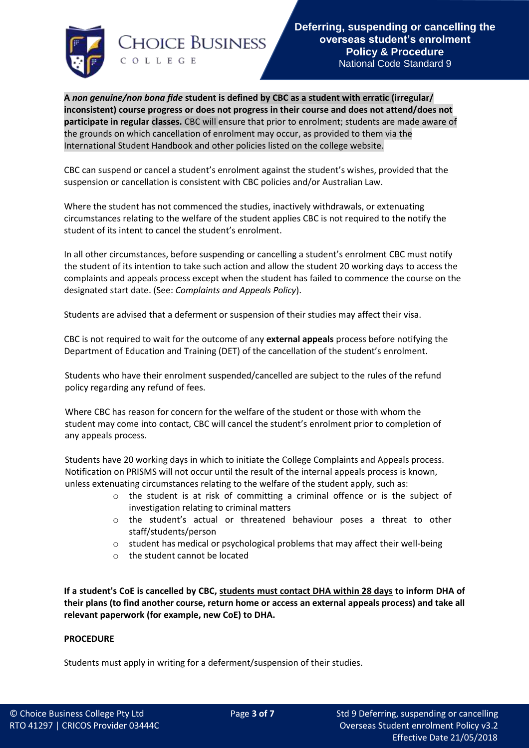

**A** *non genuine/non bona fide* **student is defined by CBC as a student with erratic (irregular/ inconsistent) course progress or does not progress in their course and does not attend/does not participate in regular classes.** CBC will ensure that prior to enrolment; students are made aware of the grounds on which cancellation of enrolment may occur, as provided to them via the International Student Handbook and other policies listed on the college website.

CBC can suspend or cancel a student's enrolment against the student's wishes, provided that the suspension or cancellation is consistent with CBC policies and/or Australian Law.

Where the student has not commenced the studies, inactively withdrawals, or extenuating circumstances relating to the welfare of the student applies CBC is not required to the notify the student of its intent to cancel the student's enrolment.

In all other circumstances, before suspending or cancelling a student's enrolment CBC must notify the student of its intention to take such action and allow the student 20 working days to access the complaints and appeals process except when the student has failed to commence the course on the designated start date. (See: *Complaints and Appeals Policy*).

Students are advised that a deferment or suspension of their studies may affect their visa.

CBC is not required to wait for the outcome of any **external appeals** process before notifying the Department of Education and Training (DET) of the cancellation of the student's enrolment.

Students who have their enrolment suspended/cancelled are subject to the rules of the refund policy regarding any refund of fees.

Where CBC has reason for concern for the welfare of the student or those with whom the student may come into contact, CBC will cancel the student's enrolment prior to completion of any appeals process.

Students have 20 working days in which to initiate the College Complaints and Appeals process. Notification on PRISMS will not occur until the result of the internal appeals process is known, unless extenuating circumstances relating to the welfare of the student apply, such as:

- o the student is at risk of committing a criminal offence or is the subject of investigation relating to criminal matters
- o the student's actual or threatened behaviour poses a threat to other staff/students/person
- $\circ$  student has medical or psychological problems that may affect their well-being
- o the student cannot be located

**If a student's CoE is cancelled by CBC, students must contact DHA within 28 days to inform DHA of their plans (to find another course, return home or access an external appeals process) and take all relevant paperwork (for example, new CoE) to DHA.**

### **PROCEDURE**

Students must apply in writing for a deferment/suspension of their studies.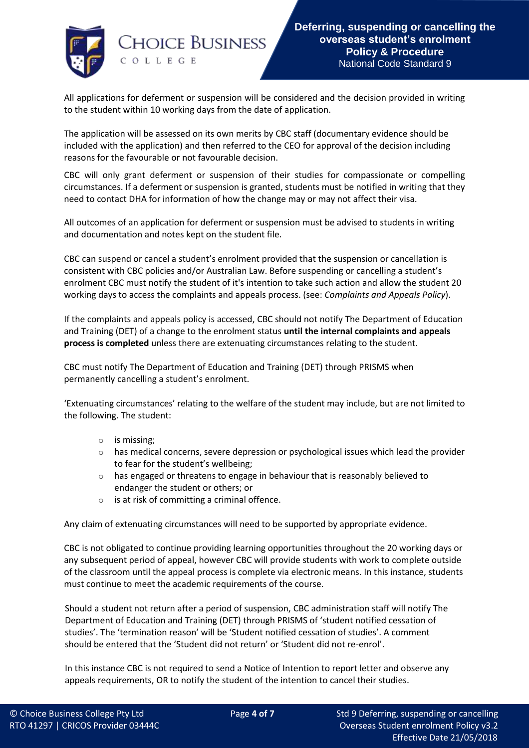

All applications for deferment or suspension will be considered and the decision provided in writing to the student within 10 working days from the date of application.

The application will be assessed on its own merits by CBC staff (documentary evidence should be included with the application) and then referred to the CEO for approval of the decision including reasons for the favourable or not favourable decision.

CBC will only grant deferment or suspension of their studies for compassionate or compelling circumstances. If a deferment or suspension is granted, students must be notified in writing that they need to contact DHA for information of how the change may or may not affect their visa.

All outcomes of an application for deferment or suspension must be advised to students in writing and documentation and notes kept on the student file.

CBC can suspend or cancel a student's enrolment provided that the suspension or cancellation is consistent with CBC policies and/or Australian Law. Before suspending or cancelling a student's enrolment CBC must notify the student of it's intention to take such action and allow the student 20 working days to access the complaints and appeals process. (see: *Complaints and Appeals Policy*).

If the complaints and appeals policy is accessed, CBC should not notify The Department of Education and Training (DET) of a change to the enrolment status **until the internal complaints and appeals process is completed** unless there are extenuating circumstances relating to the student.

CBC must notify The Department of Education and Training (DET) through PRISMS when permanently cancelling a student's enrolment.

'Extenuating circumstances' relating to the welfare of the student may include, but are not limited to the following. The student:

- o is missing;
- $\circ$  has medical concerns, severe depression or psychological issues which lead the provider to fear for the student's wellbeing;
- $\circ$  has engaged or threatens to engage in behaviour that is reasonably believed to endanger the student or others; or
- o is at risk of committing a criminal offence.

Any claim of extenuating circumstances will need to be supported by appropriate evidence.

CBC is not obligated to continue providing learning opportunities throughout the 20 working days or any subsequent period of appeal, however CBC will provide students with work to complete outside of the classroom until the appeal process is complete via electronic means. In this instance, students must continue to meet the academic requirements of the course.

Should a student not return after a period of suspension, CBC administration staff will notify The Department of Education and Training (DET) through PRISMS of 'student notified cessation of studies'. The 'termination reason' will be 'Student notified cessation of studies'. A comment should be entered that the 'Student did not return' or 'Student did not re-enrol'.

In this instance CBC is not required to send a Notice of Intention to report letter and observe any appeals requirements, OR to notify the student of the intention to cancel their studies.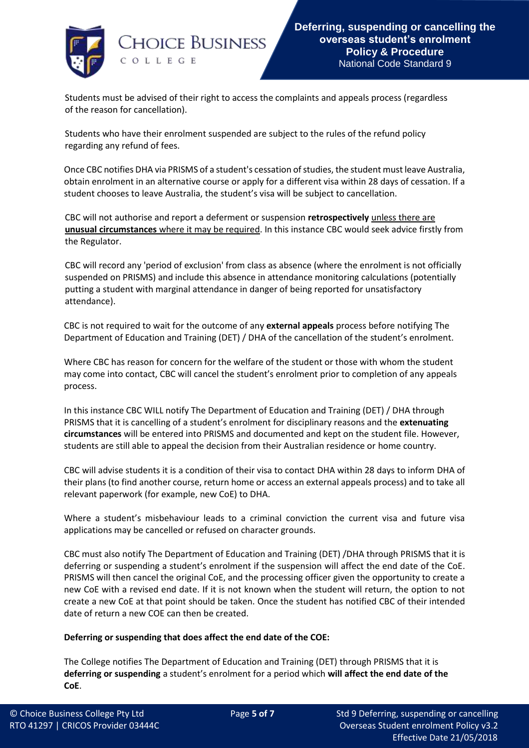

Students must be advised of their right to access the complaints and appeals process (regardless of the reason for cancellation).

Students who have their enrolment suspended are subject to the rules of the refund policy regarding any refund of fees.

Once CBC notifies DHA via PRISMS of a student's cessation of studies, the student must leave Australia, obtain enrolment in an alternative course or apply for a different visa within 28 days of cessation. If a student chooses to leave Australia, the student's visa will be subject to cancellation.

CBC will not authorise and report a deferment or suspension **retrospectively** unless there are **unusual circumstances** where it may be required. In this instance CBC would seek advice firstly from the Regulator.

CBC will record any 'period of exclusion' from class as absence (where the enrolment is not officially suspended on PRISMS) and include this absence in attendance monitoring calculations (potentially putting a student with marginal attendance in danger of being reported for unsatisfactory attendance).

CBC is not required to wait for the outcome of any **external appeals** process before notifying The Department of Education and Training (DET) / DHA of the cancellation of the student's enrolment.

Where CBC has reason for concern for the welfare of the student or those with whom the student may come into contact, CBC will cancel the student's enrolment prior to completion of any appeals process.

In this instance CBC WILL notify The Department of Education and Training (DET) / DHA through PRISMS that it is cancelling of a student's enrolment for disciplinary reasons and the **extenuating circumstances** will be entered into PRISMS and documented and kept on the student file. However, students are still able to appeal the decision from their Australian residence or home country.

CBC will advise students it is a condition of their visa to contact DHA within 28 days to inform DHA of their plans (to find another course, return home or access an external appeals process) and to take all relevant paperwork (for example, new CoE) to DHA.

Where a student's misbehaviour leads to a criminal conviction the current visa and future visa applications may be cancelled or refused on character grounds.

CBC must also notify The Department of Education and Training (DET) /DHA through PRISMS that it is deferring or suspending a student's enrolment if the suspension will affect the end date of the CoE. PRISMS will then cancel the original CoE, and the processing officer given the opportunity to create a new CoE with a revised end date. If it is not known when the student will return, the option to not create a new CoE at that point should be taken. Once the student has notified CBC of their intended date of return a new COE can then be created.

# **Deferring or suspending that does affect the end date of the COE:**

The College notifies The Department of Education and Training (DET) through PRISMS that it is **deferring or suspending** a student's enrolment for a period which **will affect the end date of the CoE**.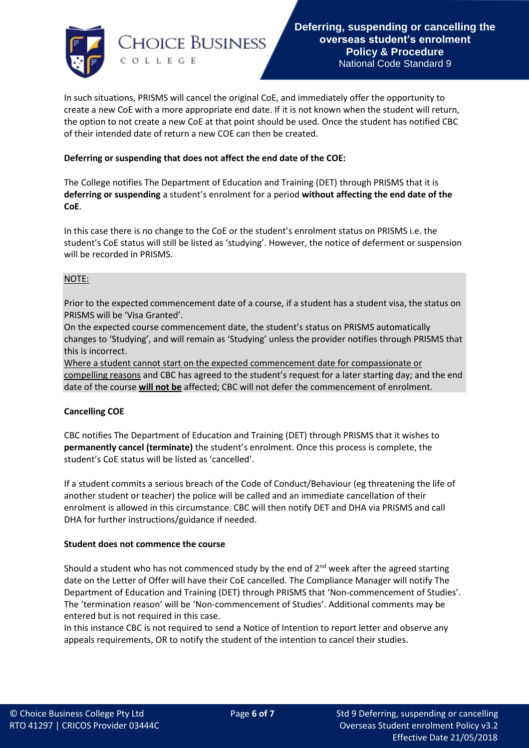

In such situations, PRISMS will cancel the original CoE, and immediately offer the opportunity to create a new CoE with a more appropriate end date. If it is not known when the student will return, the option to not create a new CoE at that point should be used. Once the student has notified CBC of their intended date of return a new COE can then be created.

## **Deferring or suspending that does not affect the end date of the COE:**

The College notifies The Department of Education and Training (DET) through PRISMS that it is **deferring or suspending** a student's enrolment for a period **without affecting the end date of the CoE**.

In this case there is no change to the CoE or the student's enrolment status on PRISMS i.e. the student's CoE status will still be listed as 'studying'. However, the notice of deferment or suspension will be recorded in PRISMS.

## NOTE:

Prior to the expected commencement date of a course, if a student has a student visa, the status on PRISMS will be 'Visa Granted'.

On the expected course commencement date, the student's status on PRISMS automatically changes to 'Studying', and will remain as 'Studying' unless the provider notifies through PRISMS that this is incorrect.

Where a student cannot start on the expected commencement date for compassionate or compelling reasons and CBC has agreed to the student's request for a later starting day; and the end date of the course **will not be** affected; CBC will not defer the commencement of enrolment.

### **Cancelling COE**

CBC notifies The Department of Education and Training (DET) through PRISMS that it wishes to **permanently cancel (terminate)** the student's enrolment. Once this process is complete, the student's CoE status will be listed as 'cancelled'.

If a student commits a serious breach of the Code of Conduct/Behaviour (eg threatening the life of another student or teacher) the police will be called and an immediate cancellation of their enrolment is allowed in this circumstance. CBC will then notify DET and DHA via PRISMS and call DHA for further instructions/guidance if needed.

### **Student does not commence the course**

Should a student who has not commenced study by the end of  $2^{nd}$  week after the agreed starting date on the Letter of Offer will have their CoE cancelled. The Compliance Manager will notify The Department of Education and Training (DET) through PRISMS that 'Non-commencement of Studies'. The 'termination reason' will be 'Non-commencement of Studies'. Additional comments may be entered but is not required in this case.

In this instance CBC is not required to send a Notice of Intention to report letter and observe any appeals requirements, OR to notify the student of the intention to cancel their studies.